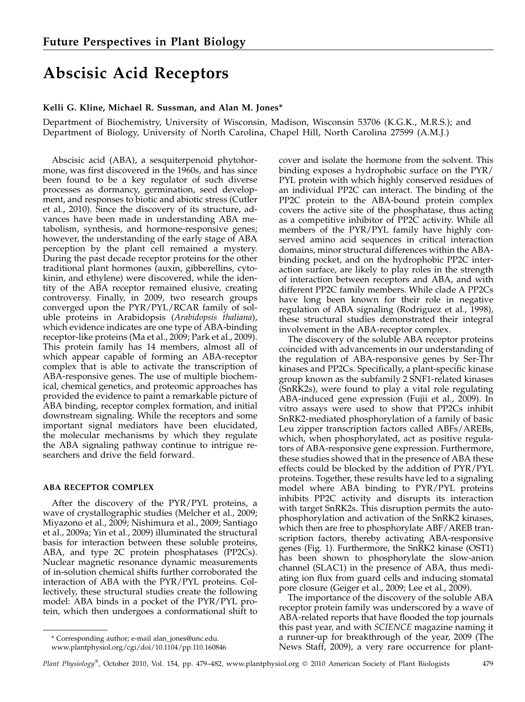# Abscisic Acid Receptors

## Kelli G. Kline, Michael R. Sussman, and Alan M. Jones\*

Department of Biochemistry, University of Wisconsin, Madison, Wisconsin 53706 (K.G.K., M.R.S.); and Department of Biology, University of North Carolina, Chapel Hill, North Carolina 27599 (A.M.J.)

Abscisic acid (ABA), a sesquiterpenoid phytohormone, was first discovered in the 1960s, and has since been found to be a key regulator of such diverse processes as dormancy, germination, seed development, and responses to biotic and abiotic stress (Cutler et al., 2010). Since the discovery of its structure, advances have been made in understanding ABA metabolism, synthesis, and hormone-responsive genes; however, the understanding of the early stage of ABA perception by the plant cell remained a mystery. During the past decade receptor proteins for the other traditional plant hormones (auxin, gibberellins, cytokinin, and ethylene) were discovered, while the identity of the ABA receptor remained elusive, creating controversy. Finally, in 2009, two research groups converged upon the PYR/PYL/RCAR family of soluble proteins in Arabidopsis (Arabidopsis thaliana), which evidence indicates are one type of ABA-binding receptor-like proteins (Ma et al., 2009; Park et al., 2009). This protein family has 14 members, almost all of which appear capable of forming an ABA-receptor complex that is able to activate the transcription of ABA-responsive genes. The use of multiple biochemical, chemical genetics, and proteomic approaches has provided the evidence to paint a remarkable picture of ABA binding, receptor complex formation, and initial downstream signaling. While the receptors and some important signal mediators have been elucidated, the molecular mechanisms by which they regulate the ABA signaling pathway continue to intrigue researchers and drive the field forward.

## ABA RECEPTOR COMPLEX

After the discovery of the PYR/PYL proteins, a wave of crystallographic studies (Melcher et al., 2009; Miyazono et al., 2009; Nishimura et al., 2009; Santiago et al., 2009a; Yin et al., 2009) illuminated the structural basis for interaction between these soluble proteins, ABA, and type 2C protein phosphatases (PP2Cs). Nuclear magnetic resonance dynamic measurements of in-solution chemical shifts further corroborated the interaction of ABA with the PYR/PYL proteins. Collectively, these structural studies create the following model: ABA binds in a pocket of the PYR/PYL protein, which then undergoes a conformational shift to

cover and isolate the hormone from the solvent. This binding exposes a hydrophobic surface on the PYR/ PYL protein with which highly conserved residues of an individual PP2C can interact. The binding of the PP2C protein to the ABA-bound protein complex covers the active site of the phosphatase, thus acting as a competitive inhibitor of PP2C activity. While all members of the PYR/PYL family have highly conserved amino acid sequences in critical interaction domains, minor structural differences within the ABAbinding pocket, and on the hydrophobic PP2C interaction surface, are likely to play roles in the strength of interaction between receptors and ABA, and with different PP2C family members. While clade A PP2Cs have long been known for their role in negative regulation of ABA signaling (Rodriguez et al., 1998), these structural studies demonstrated their integral involvement in the ABA-receptor complex.

The discovery of the soluble ABA receptor proteins coincided with advancements in our understanding of the regulation of ABA-responsive genes by Ser-Thr kinases and PP2Cs. Specifically, a plant-specific kinase group known as the subfamily 2 SNF1-related kinases (SnRK2s), were found to play a vital role regulating ABA-induced gene expression (Fujii et al., 2009). In vitro assays were used to show that PP2Cs inhibit SnRK2-mediated phosphorylation of a family of basic Leu zipper transcription factors called ABFs/AREBs, which, when phosphorylated, act as positive regulators of ABA-responsive gene expression. Furthermore, these studies showed that in the presence of ABA these effects could be blocked by the addition of PYR/PYL proteins. Together, these results have led to a signaling model where ABA binding to PYR/PYL proteins inhibits PP2C activity and disrupts its interaction with target SnRK2s. This disruption permits the autophosphorylation and activation of the SnRK2 kinases, which then are free to phosphorylate ABF/AREB transcription factors, thereby activating ABA-responsive genes (Fig. 1). Furthermore, the SnRK2 kinase (OST1) has been shown to phosphorylate the slow-anion channel (SLAC1) in the presence of ABA, thus mediating ion flux from guard cells and inducing stomatal pore closure (Geiger et al., 2009; Lee et al., 2009).

The importance of the discovery of the soluble ABA receptor protein family was underscored by a wave of ABA-related reports that have flooded the top journals this past year, and with SCIENCE magazine naming it a runner-up for breakthrough of the year, 2009 (The News Staff, 2009), a very rare occurrence for plant-

<sup>\*</sup> Corresponding author; e-mail alan\_jones@unc.edu. www.plantphysiol.org/cgi/doi/10.1104/pp.110.160846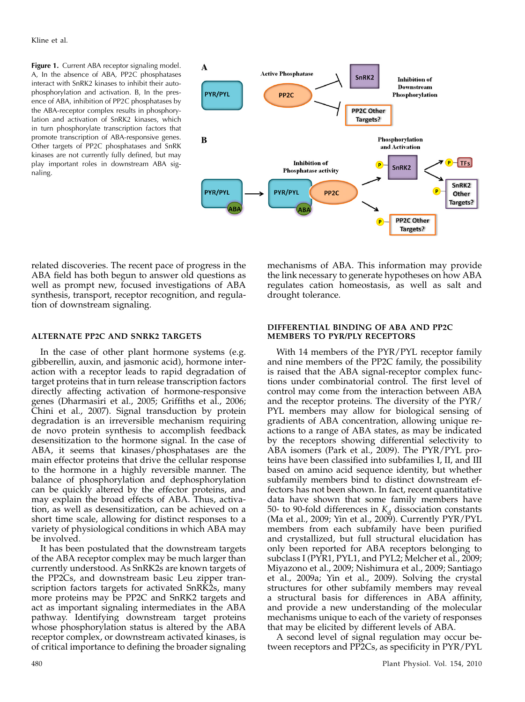Kline et al.

Figure 1. Current ABA receptor signaling model. A, In the absence of ABA, PP2C phosphatases interact with SnRK2 kinases to inhibit their autophosphorylation and activation. B, In the presence of ABA, inhibition of PP2C phosphatases by the ABA-receptor complex results in phosphorylation and activation of SnRK2 kinases, which in turn phosphorylate transcription factors that promote transcription of ABA-responsive genes. Other targets of PP2C phosphatases and SnRK kinases are not currently fully defined, but may play important roles in downstream ABA signaling.



related discoveries. The recent pace of progress in the ABA field has both begun to answer old questions as well as prompt new, focused investigations of ABA synthesis, transport, receptor recognition, and regulation of downstream signaling.

# ALTERNATE PP2C AND SNRK2 TARGETS

In the case of other plant hormone systems (e.g. gibberellin, auxin, and jasmonic acid), hormone interaction with a receptor leads to rapid degradation of target proteins that in turn release transcription factors directly affecting activation of hormone-responsive genes (Dharmasiri et al., 2005; Griffiths et al., 2006; Chini et al., 2007). Signal transduction by protein degradation is an irreversible mechanism requiring de novo protein synthesis to accomplish feedback desensitization to the hormone signal. In the case of ABA, it seems that kinases/phosphatases are the main effector proteins that drive the cellular response to the hormone in a highly reversible manner. The balance of phosphorylation and dephosphorylation can be quickly altered by the effector proteins, and may explain the broad effects of ABA. Thus, activation, as well as desensitization, can be achieved on a short time scale, allowing for distinct responses to a variety of physiological conditions in which ABA may be involved.

It has been postulated that the downstream targets of the ABA receptor complex may be much larger than currently understood. As SnRK2s are known targets of the PP2Cs, and downstream basic Leu zipper transcription factors targets for activated SnRK2s, many more proteins may be PP2C and SnRK2 targets and act as important signaling intermediates in the ABA pathway. Identifying downstream target proteins whose phosphorylation status is altered by the ABA receptor complex, or downstream activated kinases, is of critical importance to defining the broader signaling

mechanisms of ABA. This information may provide the link necessary to generate hypotheses on how ABA regulates cation homeostasis, as well as salt and drought tolerance.

# DIFFERENTIAL BINDING OF ABA AND PP2C MEMBERS TO PYR/PLY RECEPTORS

With 14 members of the PYR/PYL receptor family and nine members of the PP2C family, the possibility is raised that the ABA signal-receptor complex functions under combinatorial control. The first level of control may come from the interaction between ABA and the receptor proteins. The diversity of the PYR/ PYL members may allow for biological sensing of gradients of ABA concentration, allowing unique reactions to a range of ABA states, as may be indicated by the receptors showing differential selectivity to ABA isomers (Park et al., 2009). The PYR/PYL proteins have been classified into subfamilies I, II, and III based on amino acid sequence identity, but whether subfamily members bind to distinct downstream effectors has not been shown. In fact, recent quantitative data have shown that some family members have 50- to 90-fold differences in  $K_d$  dissociation constants (Ma et al., 2009; Yin et al., 2009). Currently PYR/PYL members from each subfamily have been purified and crystallized, but full structural elucidation has only been reported for ABA receptors belonging to subclass I (PYR1, PYL1, and PYL2; Melcher et al., 2009; Miyazono et al., 2009; Nishimura et al., 2009; Santiago et al., 2009a; Yin et al., 2009). Solving the crystal structures for other subfamily members may reveal a structural basis for differences in ABA affinity, and provide a new understanding of the molecular mechanisms unique to each of the variety of responses that may be elicited by different levels of ABA.

A second level of signal regulation may occur between receptors and PP2Cs, as specificity in PYR/PYL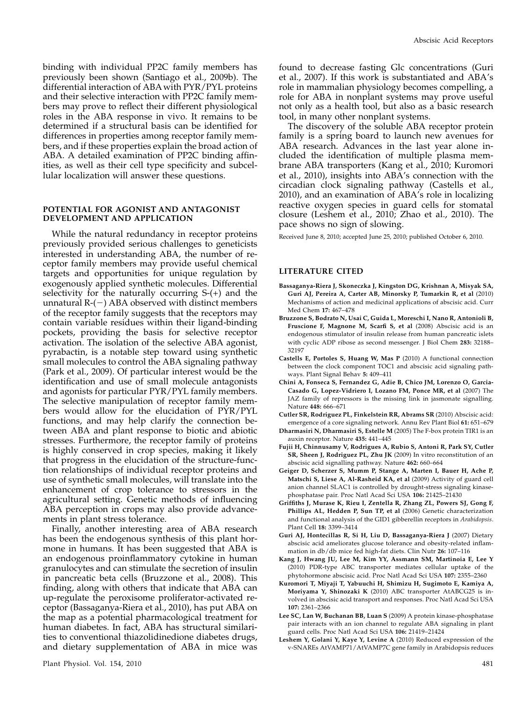binding with individual PP2C family members has previously been shown (Santiago et al., 2009b). The differential interaction of ABAwith PYR/PYL proteins and their selective interaction with PP2C family members may prove to reflect their different physiological roles in the ABA response in vivo. It remains to be determined if a structural basis can be identified for differences in properties among receptor family members, and if these properties explain the broad action of ABA. A detailed examination of PP2C binding affinities, as well as their cell type specificity and subcellular localization will answer these questions.

### POTENTIAL FOR AGONIST AND ANTAGONIST DEVELOPMENT AND APPLICATION

While the natural redundancy in receptor proteins previously provided serious challenges to geneticists interested in understanding ABA, the number of receptor family members may provide useful chemical targets and opportunities for unique regulation by exogenously applied synthetic molecules. Differential selectivity for the naturally occurring S-(+) and the unnatural  $R$ - $(-)$  ABA observed with distinct members of the receptor family suggests that the receptors may contain variable residues within their ligand-binding pockets, providing the basis for selective receptor activation. The isolation of the selective ABA agonist, pyrabactin, is a notable step toward using synthetic small molecules to control the ABA signaling pathway (Park et al., 2009). Of particular interest would be the identification and use of small molecule antagonists and agonists for particular PYR/PYL family members. The selective manipulation of receptor family members would allow for the elucidation of PYR/PYL functions, and may help clarify the connection between ABA and plant response to biotic and abiotic stresses. Furthermore, the receptor family of proteins is highly conserved in crop species, making it likely that progress in the elucidation of the structure-function relationships of individual receptor proteins and use of synthetic small molecules, will translate into the enhancement of crop tolerance to stressors in the agricultural setting. Genetic methods of influencing ABA perception in crops may also provide advancements in plant stress tolerance.

Finally, another interesting area of ABA research has been the endogenous synthesis of this plant hormone in humans. It has been suggested that ABA is an endogenous proinflammatory cytokine in human granulocytes and can stimulate the secretion of insulin in pancreatic beta cells (Bruzzone et al., 2008). This finding, along with others that indicate that ABA can up-regulate the peroxisome proliferator-activated receptor (Bassaganya-Riera et al., 2010), has put ABA on the map as a potential pharmacological treatment for human diabetes. In fact, ABA has structural similarities to conventional thiazolidinedione diabetes drugs, and dietary supplementation of ABA in mice was

found to decrease fasting Glc concentrations (Guri et al., 2007). If this work is substantiated and ABA's role in mammalian physiology becomes compelling, a role for ABA in nonplant systems may prove useful not only as a health tool, but also as a basic research tool, in many other nonplant systems.

The discovery of the soluble ABA receptor protein family is a spring board to launch new avenues for ABA research. Advances in the last year alone included the identification of multiple plasma membrane ABA transporters (Kang et al., 2010; Kuromori et al., 2010), insights into ABA's connection with the circadian clock signaling pathway (Castells et al., 2010), and an examination of ABA's role in localizing reactive oxygen species in guard cells for stomatal closure (Leshem et al., 2010; Zhao et al., 2010). The pace shows no sign of slowing.

Received June 8, 2010; accepted June 25, 2010; published October 6, 2010.

#### LITERATURE CITED

- Bassaganya-Riera J, Skoneczka J, Kingston DG, Krishnan A, Misyak SA, Guri AJ, Pereira A, Carter AB, Minorsky P, Tumarkin R, et al (2010) Mechanisms of action and medicinal applications of abscisic acid. Curr Med Chem 17: 467–478
- Bruzzone S, Bodrato N, Usai C, Guida L, Moreschi I, Nano R, Antonioli B, Fruscione F, Magnone M, Scarfi S, et al (2008) Abscisic acid is an endogenous stimulator of insulin release from human pancreatic islets with cyclic ADP ribose as second messenger. J Biol Chem 283: 32188– 32197
- Castells E, Portoles S, Huang W, Mas P (2010) A functional connection between the clock component TOC1 and abscisic acid signaling pathways. Plant Signal Behav 5: 409–411
- Chini A, Fonseca S, Fernandez G, Adie B, Chico JM, Lorenzo O, Garcia-Casado G, Lopez-Vidriero I, Lozano FM, Ponce MR, et al (2007) The JAZ family of repressors is the missing link in jasmonate signalling. Nature 448: 666–671
- Cutler SR, Rodriguez PL, Finkelstein RR, Abrams SR (2010) Abscisic acid: emergence of a core signaling network. Annu Rev Plant Biol 61: 651–679
- Dharmasiri N, Dharmasiri S, Estelle M (2005) The F-box protein TIR1 is an auxin receptor. Nature 435: 441–445
- Fujii H, Chinnusamy V, Rodrigues A, Rubio S, Antoni R, Park SY, Cutler SR, Sheen J, Rodriguez PL, Zhu JK (2009) In vitro reconstitution of an abscisic acid signalling pathway. Nature 462: 660–664
- Geiger D, Scherzer S, Mumm P, Stange A, Marten I, Bauer H, Ache P, Matschi S, Liese A, Al-Rasheid KA, et al (2009) Activity of guard cell anion channel SLAC1 is controlled by drought-stress signaling kinasephosphatase pair. Proc Natl Acad Sci USA 106: 21425–21430
- Griffiths J, Murase K, Rieu I, Zentella R, Zhang ZL, Powers SJ, Gong F, Phillips AL, Hedden P, Sun TP, et al (2006) Genetic characterization and functional analysis of the GID1 gibberellin receptors in Arabidopsis. Plant Cell 18: 3399–3414
- Guri AJ, Hontecillas R, Si H, Liu D, Bassaganya-Riera J (2007) Dietary abscisic acid ameliorates glucose tolerance and obesity-related inflammation in db/db mice fed high-fat diets. Clin Nutr 26: 107–116
- Kang J, Hwang JU, Lee M, Kim YY, Assmann SM, Martinoia E, Lee Y (2010) PDR-type ABC transporter mediates cellular uptake of the phytohormone abscisic acid. Proc Natl Acad Sci USA 107: 2355–2360
- Kuromori T, Miyaji T, Yabuuchi H, Shimizu H, Sugimoto E, Kamiya A, Moriyama Y, Shinozaki K (2010) ABC transporter AtABCG25 is involved in abscisic acid transport and responses. Proc Natl Acad Sci USA 107: 2361–2366
- Lee SC, Lan W, Buchanan BB, Luan S (2009) A protein kinase-phosphatase pair interacts with an ion channel to regulate ABA signaling in plant guard cells. Proc Natl Acad Sci USA 106: 21419–21424
- Leshem Y, Golani Y, Kaye Y, Levine A (2010) Reduced expression of the v-SNAREs AtVAMP71/AtVAMP7C gene family in Arabidopsis reduces